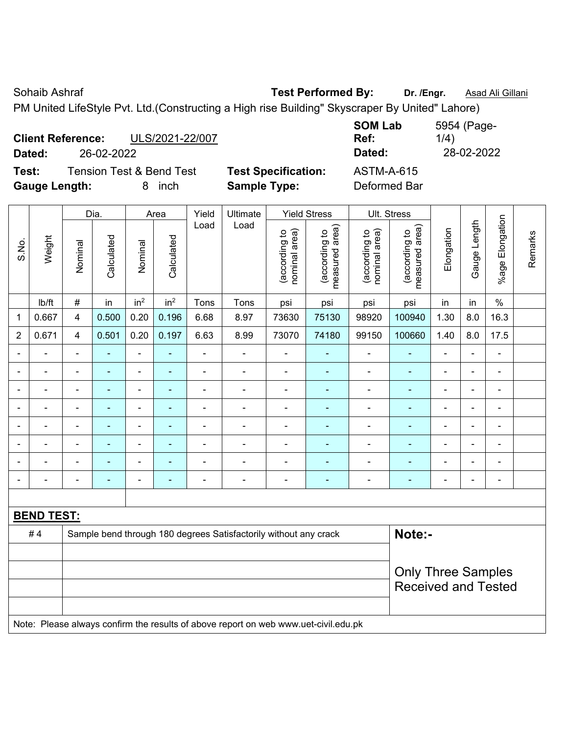| ULS/2021-22/007<br><b>Client Reference:</b>  |                            | <b>SOM Lab</b><br>Ref: | 5954 (Page-<br>1/4) |
|----------------------------------------------|----------------------------|------------------------|---------------------|
| 26-02-2022<br>Dated:                         |                            | Dated:                 | 28-02-2022          |
| <b>Tension Test &amp; Bend Test</b><br>Test: | <b>Test Specification:</b> | <b>ASTM-A-615</b>      |                     |
| <b>Gauge Length:</b><br>inch<br>8            | <b>Sample Type:</b>        | Deformed Bar           |                     |

|                          |                   |                          | Dia.                     |                          | Area                     | Yield          | Ultimate                                                                            |                                | <b>Yield Stress</b>             |                                | Ult. Stress                     |                |                          |                 |         |
|--------------------------|-------------------|--------------------------|--------------------------|--------------------------|--------------------------|----------------|-------------------------------------------------------------------------------------|--------------------------------|---------------------------------|--------------------------------|---------------------------------|----------------|--------------------------|-----------------|---------|
| S.No.                    | Weight            | Nominal                  | Calculated               | Nominal                  | Calculated               | Load           | Load                                                                                | (according to<br>nominal area) | (according to<br>measured area) | (according to<br>nominal area) | (according to<br>measured area) | Elongation     | Gauge Length             | %age Elongation | Remarks |
|                          | Ib/ft             | $\#$                     | in                       | in <sup>2</sup>          | in <sup>2</sup>          | Tons           | Tons                                                                                | psi                            | psi                             | psi                            | psi                             | in             | in                       | $\frac{0}{0}$   |         |
| 1                        | 0.667             | 4                        | 0.500                    | 0.20                     | 0.196                    | 6.68           | 8.97                                                                                | 73630                          | 75130                           | 98920                          | 100940                          | 1.30           | 8.0                      | 16.3            |         |
| $\overline{2}$           | 0.671             | $\overline{\mathbf{4}}$  | 0.501                    | 0.20                     | 0.197                    | 6.63           | 8.99                                                                                | 73070                          | 74180                           | 99150                          | 100660                          | 1.40           | 8.0                      | 17.5            |         |
|                          |                   |                          |                          | ä,                       |                          | $\blacksquare$ | $\blacksquare$                                                                      |                                |                                 | ÷                              | ÷.                              |                |                          | $\blacksquare$  |         |
|                          |                   |                          | $\overline{\phantom{a}}$ | $\blacksquare$           |                          | $\blacksquare$ | $\blacksquare$                                                                      | $\blacksquare$                 | $\blacksquare$                  | -                              | $\blacksquare$                  |                |                          | $\blacksquare$  |         |
| $\overline{\phantom{0}}$ |                   | $\blacksquare$           | $\blacksquare$           | $\overline{a}$           | $\overline{\phantom{a}}$ | Ē,             | Ē,                                                                                  | Ē,                             | ä,                              | ÷                              | $\blacksquare$                  | $\blacksquare$ | $\overline{\phantom{0}}$ | $\blacksquare$  |         |
|                          |                   | $\overline{\phantom{0}}$ | $\blacksquare$           | $\overline{\phantom{a}}$ |                          | ÷              | $\blacksquare$                                                                      | $\blacksquare$                 | $\blacksquare$                  | ۰                              | ٠                               |                | $\overline{\phantom{0}}$ | ÷,              |         |
| $\blacksquare$           | $\blacksquare$    | $\blacksquare$           | $\blacksquare$           | $\blacksquare$           | $\overline{\phantom{a}}$ | $\blacksquare$ | $\blacksquare$                                                                      | $\blacksquare$                 | $\blacksquare$                  | $\blacksquare$                 | ÷,                              | $\blacksquare$ | ä,                       | ä,              |         |
|                          |                   |                          |                          | $\blacksquare$           |                          |                |                                                                                     | Ē,                             |                                 | Ē,                             |                                 |                |                          | $\blacksquare$  |         |
|                          |                   |                          |                          |                          |                          |                |                                                                                     |                                | $\sim$                          | $\blacksquare$                 |                                 |                |                          |                 |         |
|                          |                   |                          |                          |                          |                          |                | ٠                                                                                   | ٠                              | ÷                               | ÷                              |                                 |                |                          | $\blacksquare$  |         |
|                          |                   |                          |                          |                          |                          |                |                                                                                     |                                |                                 |                                |                                 |                |                          |                 |         |
|                          | <b>BEND TEST:</b> |                          |                          |                          |                          |                |                                                                                     |                                |                                 |                                |                                 |                |                          |                 |         |
|                          | #4                |                          |                          |                          |                          |                | Sample bend through 180 degrees Satisfactorily without any crack                    |                                |                                 |                                | Note:-                          |                |                          |                 |         |
|                          |                   |                          |                          |                          |                          |                |                                                                                     |                                |                                 |                                |                                 |                |                          |                 |         |
|                          |                   |                          |                          |                          |                          |                |                                                                                     |                                |                                 |                                | <b>Only Three Samples</b>       |                |                          |                 |         |
|                          |                   |                          |                          |                          |                          |                |                                                                                     |                                |                                 |                                | <b>Received and Tested</b>      |                |                          |                 |         |
|                          |                   |                          |                          |                          |                          |                | Note: Please always confirm the results of above report on web www.uet-civil.edu.pk |                                |                                 |                                |                                 |                |                          |                 |         |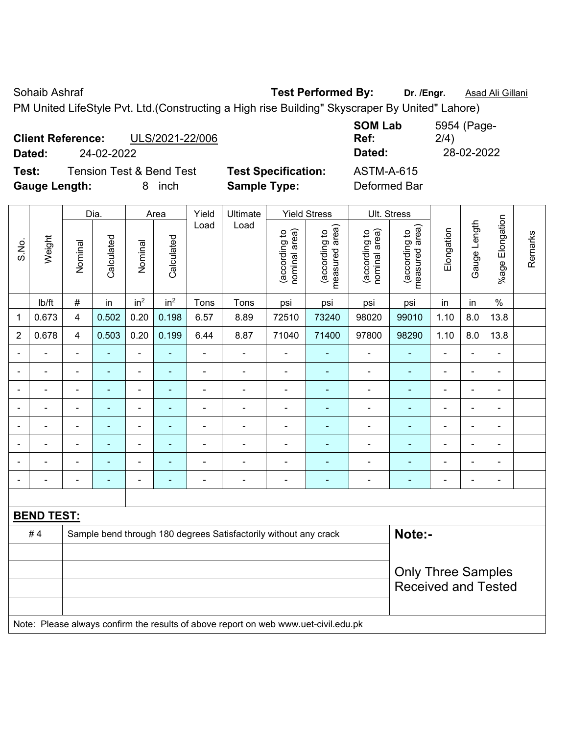| <b>Client Reference:</b><br>ULS/2021-22/006  |                            | <b>SOM Lab</b><br>Ref: | 5954 (Page-<br>2/4) |
|----------------------------------------------|----------------------------|------------------------|---------------------|
| 24-02-2022<br>Dated:                         |                            | Dated:                 | 28-02-2022          |
| <b>Tension Test &amp; Bend Test</b><br>Test: | <b>Test Specification:</b> | <b>ASTM-A-615</b>      |                     |
| <b>Gauge Length:</b><br><i>inch</i>          | <b>Sample Type:</b>        | Deformed Bar           |                     |

|                |                   |                          | Dia.           |                          | Area                     | Yield          | Ultimate                                                                            |                                | <b>Yield Stress</b>             |                                | Ult. Stress                     |                          |                |                 |         |
|----------------|-------------------|--------------------------|----------------|--------------------------|--------------------------|----------------|-------------------------------------------------------------------------------------|--------------------------------|---------------------------------|--------------------------------|---------------------------------|--------------------------|----------------|-----------------|---------|
| S.No.          | Weight            | Nominal                  | Calculated     | Nominal                  | Calculated               | Load           | Load                                                                                | (according to<br>nominal area) | (according to<br>measured area) | nominal area)<br>(according to | measured area)<br>(according to | Elongation               | Gauge Length   | %age Elongation | Remarks |
|                | Ib/ft             | $\#$                     | in             | in <sup>2</sup>          | in <sup>2</sup>          | Tons           | Tons                                                                                | psi                            | psi                             | psi                            | psi                             | in                       | in             | $\%$            |         |
| -1             | 0.673             | $\overline{4}$           | 0.502          | 0.20                     | 0.198                    | 6.57           | 8.89                                                                                | 72510                          | 73240                           | 98020                          | 99010                           | 1.10                     | 8.0            | 13.8            |         |
| $\overline{2}$ | 0.678             | $\overline{4}$           | 0.503          | 0.20                     | 0.199                    | 6.44           | 8.87                                                                                | 71040                          | 71400                           | 97800                          | 98290                           | 1.10                     | 8.0            | 13.8            |         |
| $\blacksquare$ | $\blacksquare$    | $\overline{\phantom{a}}$ | $\blacksquare$ | $\blacksquare$           | $\blacksquare$           | $\blacksquare$ | $\qquad \qquad \blacksquare$                                                        | $\blacksquare$                 | $\blacksquare$                  | $\qquad \qquad \blacksquare$   | $\blacksquare$                  | $\overline{\phantom{a}}$ | ÷              | $\blacksquare$  |         |
|                | $\blacksquare$    | $\blacksquare$           | $\blacksquare$ | $\overline{\phantom{a}}$ | $\overline{\phantom{a}}$ | $\blacksquare$ | $\blacksquare$                                                                      | $\overline{a}$                 | $\blacksquare$                  | $\overline{\phantom{a}}$       | ÷,                              | ۰                        | ÷              | $\blacksquare$  |         |
| $\overline{a}$ | $\blacksquare$    | $\blacksquare$           | $\blacksquare$ | $\frac{1}{2}$            | $\blacksquare$           | ä,             | $\blacksquare$                                                                      | $\blacksquare$                 | $\blacksquare$                  | ÷,                             | $\blacksquare$                  | $\blacksquare$           | L,             | $\blacksquare$  |         |
|                |                   | $\blacksquare$           | ÷              | $\blacksquare$           |                          | $\blacksquare$ | $\blacksquare$                                                                      | $\blacksquare$                 | $\blacksquare$                  | $\blacksquare$                 | $\blacksquare$                  |                          | $\blacksquare$ | $\blacksquare$  |         |
|                |                   |                          | $\blacksquare$ | $\overline{\phantom{a}}$ |                          |                |                                                                                     | $\blacksquare$                 | $\blacksquare$                  | $\overline{\phantom{0}}$       | $\blacksquare$                  |                          |                | $\blacksquare$  |         |
|                |                   |                          |                | ÷                        |                          |                |                                                                                     |                                |                                 |                                |                                 |                          |                | $\blacksquare$  |         |
|                |                   |                          | $\blacksquare$ | $\blacksquare$           |                          | $\blacksquare$ | $\blacksquare$                                                                      | $\blacksquare$                 | $\blacksquare$                  | ۰                              | $\blacksquare$                  |                          |                | $\blacksquare$  |         |
| $\blacksquare$ |                   | $\blacksquare$           | $\blacksquare$ | $\overline{\phantom{a}}$ | $\overline{\phantom{a}}$ | Ē,             | $\overline{\phantom{a}}$                                                            | $\overline{\phantom{a}}$       | $\blacksquare$                  | ۰                              | ÷,                              | $\blacksquare$           | $\blacksquare$ | $\blacksquare$  |         |
|                |                   |                          |                |                          |                          |                |                                                                                     |                                |                                 |                                |                                 |                          |                |                 |         |
|                | <b>BEND TEST:</b> |                          |                |                          |                          |                |                                                                                     |                                |                                 |                                |                                 |                          |                |                 |         |
|                | #4                |                          |                |                          |                          |                | Sample bend through 180 degrees Satisfactorily without any crack                    |                                |                                 |                                | Note:-                          |                          |                |                 |         |
|                |                   |                          |                |                          |                          |                |                                                                                     |                                |                                 |                                |                                 |                          |                |                 |         |
|                |                   |                          |                |                          |                          |                |                                                                                     |                                |                                 |                                | <b>Only Three Samples</b>       |                          |                |                 |         |
|                |                   |                          |                |                          |                          |                |                                                                                     |                                |                                 |                                | <b>Received and Tested</b>      |                          |                |                 |         |
|                |                   |                          |                |                          |                          |                | Note: Please always confirm the results of above report on web www.uet-civil.edu.pk |                                |                                 |                                |                                 |                          |                |                 |         |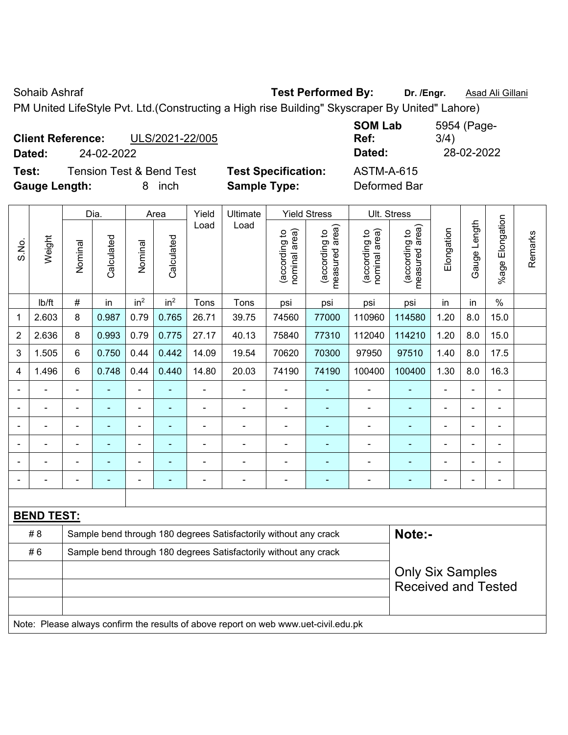| ULS/2021-22/005<br><b>Client Reference:</b>  |                            | <b>SOM Lab</b><br>Ref: | 5954 (Page-<br>3/4) |
|----------------------------------------------|----------------------------|------------------------|---------------------|
| 24-02-2022<br>Dated:                         |                            | Dated:                 | 28-02-2022          |
| <b>Tension Test &amp; Bend Test</b><br>Test: | <b>Test Specification:</b> | ASTM-A-615             |                     |
| <b>Gauge Length:</b><br><i>inch</i>          | <b>Sample Type:</b>        | Deformed Bar           |                     |

|                         |                   |                                                                  | Dia.           |                 | Area            | Yield          | Ultimate                                                                            |                                | <b>Yield Stress</b>             |                                | Ult. Stress                     |                |                |                       |         |
|-------------------------|-------------------|------------------------------------------------------------------|----------------|-----------------|-----------------|----------------|-------------------------------------------------------------------------------------|--------------------------------|---------------------------------|--------------------------------|---------------------------------|----------------|----------------|-----------------------|---------|
| S.No.                   | Weight            | Nominal                                                          | Calculated     | Nominal         | Calculated      | Load           | Load                                                                                | nominal area)<br>(according to | (according to<br>measured area) | nominal area)<br>(according to | measured area)<br>(according to | Elongation     | Gauge Length   | Elongation<br>$%$ age | Remarks |
|                         | lb/ft             | $\#$                                                             | in             | in <sup>2</sup> | in <sup>2</sup> | Tons           | Tons                                                                                | psi                            | psi                             | psi                            | psi                             | in             | in             | $\%$                  |         |
| 1                       | 2.603             | 8                                                                | 0.987          | 0.79            | 0.765           | 26.71          | 39.75                                                                               | 74560                          | 77000                           | 110960                         | 114580                          | 1.20           | 8.0            | 15.0                  |         |
| $\overline{2}$          | 2.636             | 8                                                                | 0.993          | 0.79            | 0.775           | 27.17          | 40.13                                                                               | 75840                          | 77310                           | 112040                         | 114210                          | 1.20           | 8.0            | 15.0                  |         |
| 3                       | 1.505             | 6                                                                | 0.750          | 0.44            | 0.442           | 14.09          | 19.54                                                                               | 70620                          | 70300                           | 97950                          | 97510                           | 1.40           | 8.0            | 17.5                  |         |
| $\overline{\mathbf{4}}$ | 1.496             | 6                                                                | 0.748          | 0.44            | 0.440           | 14.80          | 20.03                                                                               | 74190                          | 74190                           | 100400                         | 100400                          | 1.30           | 8.0            | 16.3                  |         |
|                         |                   | Ē,                                                               | ä,             | ä,              | ÷               |                |                                                                                     | $\blacksquare$                 | ٠                               | $\blacksquare$                 |                                 | $\blacksquare$ | ÷,             | $\blacksquare$        |         |
|                         | ۳                 | $\blacksquare$                                                   | ä,             | ä,              | ÷               | $\blacksquare$ | $\blacksquare$                                                                      | $\overline{a}$                 | $\blacksquare$                  | $\blacksquare$                 | $\blacksquare$                  |                | ä,             | $\blacksquare$        |         |
|                         |                   |                                                                  | $\blacksquare$ | $\blacksquare$  |                 |                |                                                                                     | $\blacksquare$                 | ٠                               | $\blacksquare$                 |                                 | ۳              |                | $\blacksquare$        |         |
|                         |                   |                                                                  |                | $\blacksquare$  |                 |                |                                                                                     |                                |                                 |                                |                                 |                |                | $\blacksquare$        |         |
|                         |                   |                                                                  |                | $\blacksquare$  |                 |                |                                                                                     |                                |                                 | $\blacksquare$                 |                                 |                |                | $\blacksquare$        |         |
|                         |                   |                                                                  |                | $\blacksquare$  | ۰               |                | $\blacksquare$                                                                      | $\blacksquare$                 | $\overline{a}$                  |                                |                                 | $\blacksquare$ | $\blacksquare$ | $\blacksquare$        |         |
|                         |                   |                                                                  |                |                 |                 |                |                                                                                     |                                |                                 |                                |                                 |                |                |                       |         |
|                         | <b>BEND TEST:</b> |                                                                  |                |                 |                 |                |                                                                                     |                                |                                 |                                |                                 |                |                |                       |         |
|                         | #8                |                                                                  |                |                 |                 |                | Sample bend through 180 degrees Satisfactorily without any crack                    |                                |                                 |                                | Note:-                          |                |                |                       |         |
|                         | #6                | Sample bend through 180 degrees Satisfactorily without any crack |                |                 |                 |                |                                                                                     |                                |                                 |                                |                                 |                |                |                       |         |
|                         |                   |                                                                  |                |                 |                 |                |                                                                                     |                                |                                 |                                | <b>Only Six Samples</b>         |                |                |                       |         |
|                         |                   |                                                                  |                |                 |                 |                |                                                                                     |                                |                                 |                                | <b>Received and Tested</b>      |                |                |                       |         |
|                         |                   |                                                                  |                |                 |                 |                |                                                                                     |                                |                                 |                                |                                 |                |                |                       |         |
|                         |                   |                                                                  |                |                 |                 |                | Note: Please always confirm the results of above report on web www.uet-civil.edu.pk |                                |                                 |                                |                                 |                |                |                       |         |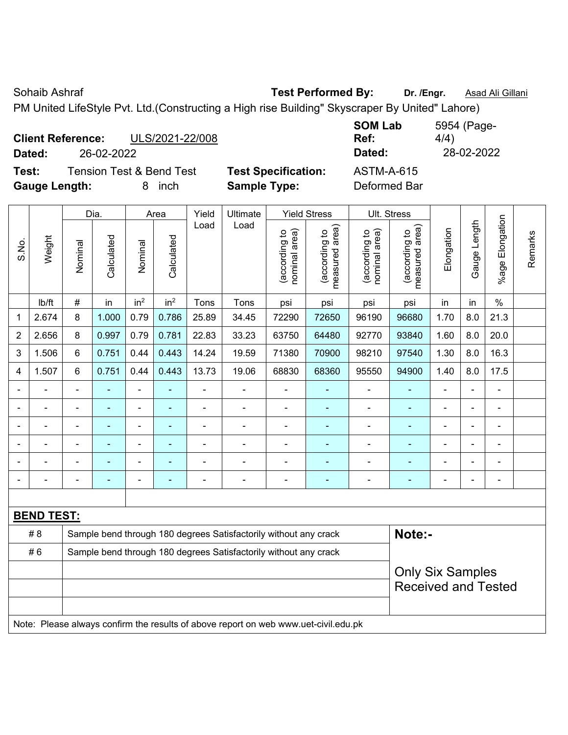| <b>Client Reference:</b><br>ULS/2021-22/008  |                            | <b>SOM Lab</b><br>Ref: | 5954 (Page-<br>4/4) |
|----------------------------------------------|----------------------------|------------------------|---------------------|
| 26-02-2022<br>Dated:                         |                            | Dated:                 | 28-02-2022          |
| <b>Tension Test &amp; Bend Test</b><br>Test: | <b>Test Specification:</b> | <b>ASTM-A-615</b>      |                     |
| <b>Gauge Length:</b><br>inch                 | <b>Sample Type:</b>        | Deformed Bar           |                     |

|                |                   |                                                                  | Dia.       |                 | Area            | Yield          | Ultimate                                                                            |                                | <b>Yield Stress</b>                         |                                | Ult. Stress                                           |            |                          |                       |         |
|----------------|-------------------|------------------------------------------------------------------|------------|-----------------|-----------------|----------------|-------------------------------------------------------------------------------------|--------------------------------|---------------------------------------------|--------------------------------|-------------------------------------------------------|------------|--------------------------|-----------------------|---------|
| S.No.          | Weight            | Nominal                                                          | Calculated | Nominal         | Calculated      | Load           | Load                                                                                | nominal area)<br>(according to | (according to<br>measured area)<br>measured | nominal area)<br>(according to | measured area)<br>(according to                       | Elongation | Gauge Length             | Elongation<br>$%$ age | Remarks |
|                | lb/ft             | $\#$                                                             | in         | in <sup>2</sup> | in <sup>2</sup> | Tons           | Tons                                                                                | psi                            | psi                                         | psi                            | psi                                                   | in         | in                       | $\%$                  |         |
| 1              | 2.674             | 8                                                                | 1.000      | 0.79            | 0.786           | 25.89          | 34.45                                                                               | 72290                          | 72650                                       | 96190                          | 96680                                                 | 1.70       | 8.0                      | 21.3                  |         |
| $\overline{2}$ | 2.656             | 8                                                                | 0.997      | 0.79            | 0.781           | 22.83          | 33.23                                                                               | 63750                          | 64480                                       | 92770                          | 93840                                                 | 1.60       | 8.0                      | 20.0                  |         |
| 3              | 1.506             | 6                                                                | 0.751      | 0.44            | 0.443           | 14.24          | 19.59                                                                               | 71380                          | 70900                                       | 98210                          | 97540                                                 | 1.30       | 8.0                      | 16.3                  |         |
| 4              | 1.507             | 6                                                                | 0.751      | 0.44            | 0.443           | 13.73          | 19.06                                                                               | 68830                          | 68360                                       | 95550                          | 94900                                                 | 1.40       | 8.0                      | 17.5                  |         |
|                |                   | $\blacksquare$                                                   | ä,         | ä,              |                 | ä,             |                                                                                     | ä,                             | $\blacksquare$                              | ä,                             | $\blacksquare$                                        |            | $\blacksquare$           | ä,                    |         |
|                | ÷                 | $\blacksquare$                                                   | ä,         | $\blacksquare$  | ٠               | $\blacksquare$ | $\blacksquare$                                                                      | $\blacksquare$                 | $\blacksquare$                              | $\blacksquare$                 | $\blacksquare$                                        |            | $\overline{\phantom{a}}$ | ä,                    |         |
|                |                   |                                                                  |            | $\blacksquare$  |                 |                | $\blacksquare$                                                                      | $\overline{\phantom{a}}$       | $\blacksquare$                              | $\blacksquare$                 | $\blacksquare$                                        |            |                          | $\blacksquare$        |         |
|                |                   |                                                                  |            |                 |                 |                |                                                                                     |                                |                                             |                                |                                                       |            |                          |                       |         |
|                |                   |                                                                  |            |                 |                 |                |                                                                                     | $\blacksquare$                 | $\blacksquare$                              | $\blacksquare$                 | $\blacksquare$                                        |            |                          | $\blacksquare$        |         |
|                |                   | ä,                                                               | ۰          | $\overline{a}$  | $\overline{a}$  |                | $\blacksquare$                                                                      | $\overline{\phantom{a}}$       | $\overline{a}$                              | $\overline{a}$                 |                                                       |            | $\blacksquare$           | $\blacksquare$        |         |
|                |                   |                                                                  |            |                 |                 |                |                                                                                     |                                |                                             |                                |                                                       |            |                          |                       |         |
|                | <b>BEND TEST:</b> |                                                                  |            |                 |                 |                |                                                                                     |                                |                                             |                                |                                                       |            |                          |                       |         |
|                | #8                |                                                                  |            |                 |                 |                | Sample bend through 180 degrees Satisfactorily without any crack                    |                                |                                             |                                | Note:-                                                |            |                          |                       |         |
|                | #6                | Sample bend through 180 degrees Satisfactorily without any crack |            |                 |                 |                |                                                                                     |                                |                                             |                                |                                                       |            |                          |                       |         |
|                |                   |                                                                  |            |                 |                 |                |                                                                                     |                                |                                             |                                | <b>Only Six Samples</b><br><b>Received and Tested</b> |            |                          |                       |         |
|                |                   |                                                                  |            |                 |                 |                |                                                                                     |                                |                                             |                                |                                                       |            |                          |                       |         |
|                |                   |                                                                  |            |                 |                 |                | Note: Please always confirm the results of above report on web www.uet-civil.edu.pk |                                |                                             |                                |                                                       |            |                          |                       |         |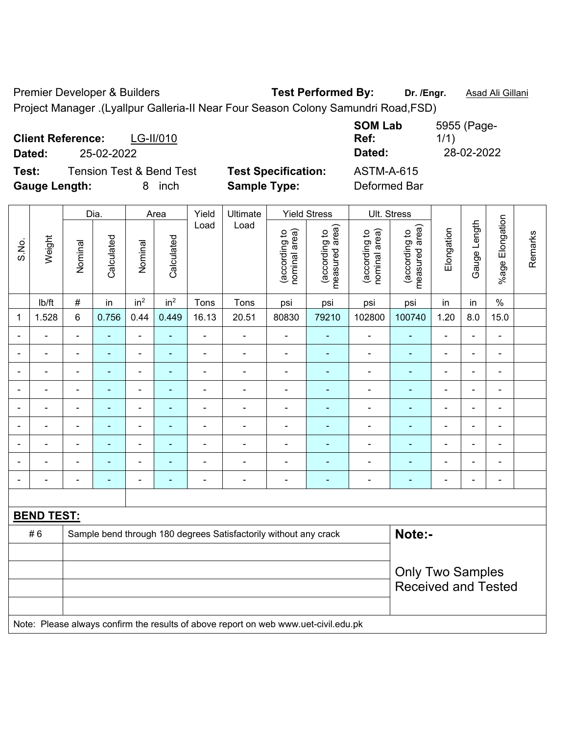Premier Developer & Builders **Test Performed By:** Dr. /Engr. **Asad Ali Gillani** Project Manager .(Lyallpur Galleria-II Near Four Season Colony Samundri Road,FSD)

**Client Reference:** LG-II/010 **SOM Lab Ref:**  5955 (Page-1/1) **Dated:** 25-02-2022 **Dated:** 28-02-2022 **Test:** Tension Test & Bend Test **Test Specification:** ASTM-A-615 **Gauge Length:** 8 inch **Sample Type:** Deformed Bar

|                          |                   |                | Dia.           |                          | Area                     | Yield          | Ultimate                                                                            |                                | <b>Yield Stress</b>             |                                | Ult. Stress                     |                          |                |                 |         |
|--------------------------|-------------------|----------------|----------------|--------------------------|--------------------------|----------------|-------------------------------------------------------------------------------------|--------------------------------|---------------------------------|--------------------------------|---------------------------------|--------------------------|----------------|-----------------|---------|
| S.No.                    | Weight            | Nominal        | Calculated     | Nominal                  | Calculated               | Load           | Load                                                                                | nominal area)<br>(according to | measured area)<br>(according to | nominal area)<br>(according to | measured area)<br>(according to | Elongation               | Gauge Length   | %age Elongation | Remarks |
|                          | lb/ft             | $\#$           | in             | in <sup>2</sup>          | in <sup>2</sup>          | Tons           | Tons                                                                                | psi                            | psi                             | psi                            | psi                             | in                       | in             | $\frac{0}{0}$   |         |
| 1                        | 1.528             | $6\phantom{1}$ | 0.756          | 0.44                     | 0.449                    | 16.13          | 20.51                                                                               | 80830                          | 79210                           | 102800                         | 100740                          | 1.20                     | 8.0            | 15.0            |         |
|                          |                   | $\blacksquare$ | ä,             | $\blacksquare$           | ä,                       | $\overline{a}$ | $\blacksquare$                                                                      | ä,                             | $\blacksquare$                  | ä,                             | $\blacksquare$                  | $\blacksquare$           | L,             | ä,              |         |
|                          |                   |                | L.             | ÷                        |                          |                | $\blacksquare$                                                                      | $\blacksquare$                 | ۰                               | $\blacksquare$                 | Ē.                              |                          | L.             | $\blacksquare$  |         |
|                          | $\blacksquare$    | $\blacksquare$ | $\blacksquare$ | $\blacksquare$           | $\blacksquare$           |                | $\blacksquare$                                                                      | $\blacksquare$                 | ۰                               | $\blacksquare$                 | ÷                               | $\blacksquare$           | $\blacksquare$ | $\blacksquare$  |         |
| ÷                        | ÷                 | $\blacksquare$ | $\blacksquare$ | $\overline{\phantom{a}}$ | $\blacksquare$           |                | $\blacksquare$                                                                      | $\blacksquare$                 | ÷                               | $\blacksquare$                 | ÷                               | $\overline{a}$           | ÷              | $\blacksquare$  |         |
| $\overline{\phantom{0}}$ | $\blacksquare$    | $\blacksquare$ | $\blacksquare$ | $\overline{\phantom{a}}$ | $\overline{\phantom{0}}$ | $\blacksquare$ | $\blacksquare$                                                                      | $\blacksquare$                 | ۰                               | $\blacksquare$                 | $\blacksquare$                  | $\overline{a}$           | ä,             | $\blacksquare$  |         |
|                          | ä,                | $\blacksquare$ | $\blacksquare$ | $\blacksquare$           | $\blacksquare$           | ä,             | $\blacksquare$                                                                      | $\blacksquare$                 | ÷                               | $\blacksquare$                 | $\blacksquare$                  | $\overline{\phantom{a}}$ | ä,             | $\blacksquare$  |         |
|                          | $\blacksquare$    | $\blacksquare$ | $\blacksquare$ | $\blacksquare$           | $\blacksquare$           | $\blacksquare$ | $\blacksquare$                                                                      | $\blacksquare$                 | ۰                               | $\blacksquare$                 | $\blacksquare$                  | $\overline{\phantom{0}}$ | $\overline{a}$ | $\blacksquare$  |         |
|                          |                   |                | $\blacksquare$ | $\blacksquare$           |                          |                |                                                                                     | $\blacksquare$                 | ۰                               | $\blacksquare$                 | ä,                              |                          | L.             | $\blacksquare$  |         |
|                          |                   | $\blacksquare$ | Ē,             | ÷                        | $\blacksquare$           |                | $\blacksquare$                                                                      | $\blacksquare$                 | ÷                               | $\blacksquare$                 | Ē.                              | $\blacksquare$           | $\blacksquare$ | $\blacksquare$  |         |
|                          |                   |                |                |                          |                          |                |                                                                                     |                                |                                 |                                |                                 |                          |                |                 |         |
|                          | <b>BEND TEST:</b> |                |                |                          |                          |                |                                                                                     |                                |                                 |                                |                                 |                          |                |                 |         |
|                          | #6                |                |                |                          |                          |                | Sample bend through 180 degrees Satisfactorily without any crack                    |                                |                                 |                                | Note:-                          |                          |                |                 |         |
|                          |                   |                |                |                          |                          |                |                                                                                     |                                |                                 |                                |                                 |                          |                |                 |         |
|                          |                   |                |                |                          |                          |                |                                                                                     |                                |                                 |                                | <b>Only Two Samples</b>         |                          |                |                 |         |
|                          |                   |                |                |                          |                          |                |                                                                                     |                                |                                 |                                | <b>Received and Tested</b>      |                          |                |                 |         |
|                          |                   |                |                |                          |                          |                |                                                                                     |                                |                                 |                                |                                 |                          |                |                 |         |
|                          |                   |                |                |                          |                          |                | Note: Please always confirm the results of above report on web www.uet-civil.edu.pk |                                |                                 |                                |                                 |                          |                |                 |         |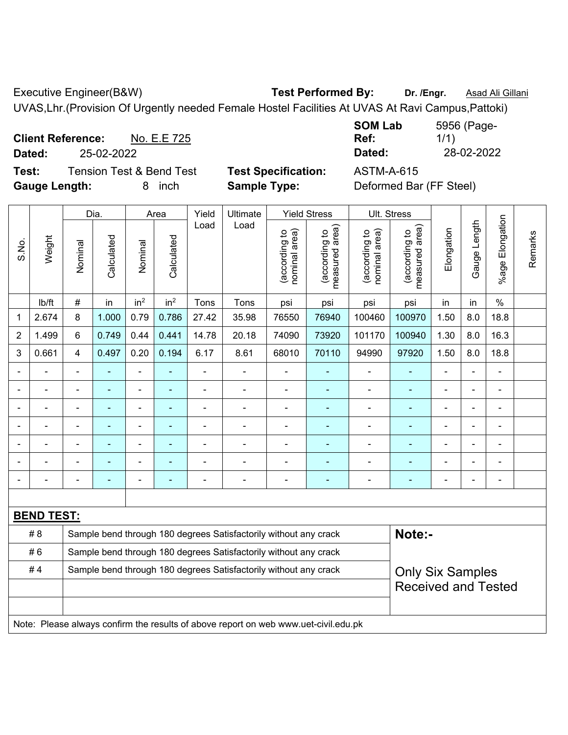Executive Engineer(B&W) **Test Performed By:** Dr. /Engr. **Asad Ali Gillani** CH

UVAS,Lhr.(Provision Of Urgently needed Female Hostel Facilities At UVAS At Ravi Campus,Pattoki)

**Client Reference:** No. E.E 725 **Dated:** 25-02-2022 **Dated:** 28-02-2022 **Test:** Tension Test & Bend Test **Test Specification:** ASTM-A-615

**Gauge Length:** 8 inch **Sample Type:** Deformed Bar (FF Steel)

**SOM Lab Ref:**  5956 (Page-1/1)

|                |                   |                                                                  | Dia.       |                 | Area                     | Yield          | Ultimate                                                                            |                                | <b>Yield Stress</b>                         |                                | Ult. Stress                     |                |                |                       |         |
|----------------|-------------------|------------------------------------------------------------------|------------|-----------------|--------------------------|----------------|-------------------------------------------------------------------------------------|--------------------------------|---------------------------------------------|--------------------------------|---------------------------------|----------------|----------------|-----------------------|---------|
| S.No.          | Weight            | Nominal                                                          | Calculated | Nominal         | Calculated               | Load           | Load                                                                                | nominal area)<br>(according to | (according to<br>measured area)<br>measured | nominal area)<br>(according to | measured area)<br>(according to | Elongation     | Gauge Length   | Elongation<br>$%$ age | Remarks |
|                | Ib/ft             | #                                                                | in         | in <sup>2</sup> | in <sup>2</sup>          | Tons           | Tons                                                                                | psi                            | psi                                         | psi                            | psi                             | in             | in             | $\frac{0}{0}$         |         |
| 1              | 2.674             | 8                                                                | 1.000      | 0.79            | 0.786                    | 27.42          | 35.98                                                                               | 76550                          | 76940                                       | 100460                         | 100970                          | 1.50           | 8.0            | 18.8                  |         |
| $\overline{2}$ | 1.499             | 6                                                                | 0.749      | 0.44            | 0.441                    | 14.78          | 20.18                                                                               | 74090                          | 73920                                       | 101170                         | 100940                          | 1.30           | 8.0            | 16.3                  |         |
| 3              | 0.661             | $\overline{4}$                                                   | 0.497      | 0.20            | 0.194                    | 6.17           | 8.61                                                                                | 68010                          | 70110                                       | 94990                          | 97920                           | 1.50           | 8.0            | 18.8                  |         |
|                |                   | $\overline{a}$                                                   | ÷,         | $\frac{1}{2}$   | ÷                        | ÷,             | ÷,                                                                                  | $\blacksquare$                 | $\blacksquare$                              | $\blacksquare$                 | ٠                               | $\blacksquare$ |                | $\blacksquare$        |         |
|                |                   |                                                                  | L.         | $\blacksquare$  | $\blacksquare$           |                | $\blacksquare$                                                                      | $\blacksquare$                 | $\blacksquare$                              | $\blacksquare$                 | ä,                              |                |                | $\blacksquare$        |         |
|                |                   |                                                                  |            |                 |                          |                |                                                                                     |                                | $\sim$                                      |                                |                                 |                |                |                       |         |
|                |                   |                                                                  |            |                 |                          |                |                                                                                     | ÷                              | ÷                                           | $\blacksquare$                 | ۰                               |                |                |                       |         |
| $\blacksquare$ |                   | $\blacksquare$                                                   | ÷,         | $\blacksquare$  | $\blacksquare$           | $\blacksquare$ | $\blacksquare$                                                                      | $\blacksquare$                 | $\blacksquare$                              | $\blacksquare$                 | ۰                               | $\blacksquare$ | $\blacksquare$ | $\blacksquare$        |         |
|                |                   |                                                                  | ÷,         | $\blacksquare$  |                          |                |                                                                                     | $\blacksquare$                 | $\blacksquare$                              | $\overline{\phantom{0}}$       | ۰                               |                |                | $\blacksquare$        |         |
|                |                   | ٠                                                                | ÷,         | $\blacksquare$  | $\overline{\phantom{0}}$ |                | $\blacksquare$                                                                      | $\blacksquare$                 | $\blacksquare$                              |                                | ۰                               | ۰              |                | $\blacksquare$        |         |
|                |                   |                                                                  |            |                 |                          |                |                                                                                     |                                |                                             |                                |                                 |                |                |                       |         |
|                | <b>BEND TEST:</b> |                                                                  |            |                 |                          |                |                                                                                     |                                |                                             |                                |                                 |                |                |                       |         |
|                | # 8               |                                                                  |            |                 |                          |                | Sample bend through 180 degrees Satisfactorily without any crack                    |                                |                                             |                                | Note:-                          |                |                |                       |         |
|                | #6                | Sample bend through 180 degrees Satisfactorily without any crack |            |                 |                          |                |                                                                                     |                                |                                             |                                |                                 |                |                |                       |         |
|                | #4                |                                                                  |            |                 |                          |                | Sample bend through 180 degrees Satisfactorily without any crack                    |                                |                                             |                                | <b>Only Six Samples</b>         |                |                |                       |         |
|                |                   |                                                                  |            |                 |                          |                |                                                                                     |                                |                                             |                                | <b>Received and Tested</b>      |                |                |                       |         |
|                |                   |                                                                  |            |                 |                          |                |                                                                                     |                                |                                             |                                |                                 |                |                |                       |         |
|                |                   |                                                                  |            |                 |                          |                | Note: Please always confirm the results of above report on web www.uet-civil.edu.pk |                                |                                             |                                |                                 |                |                |                       |         |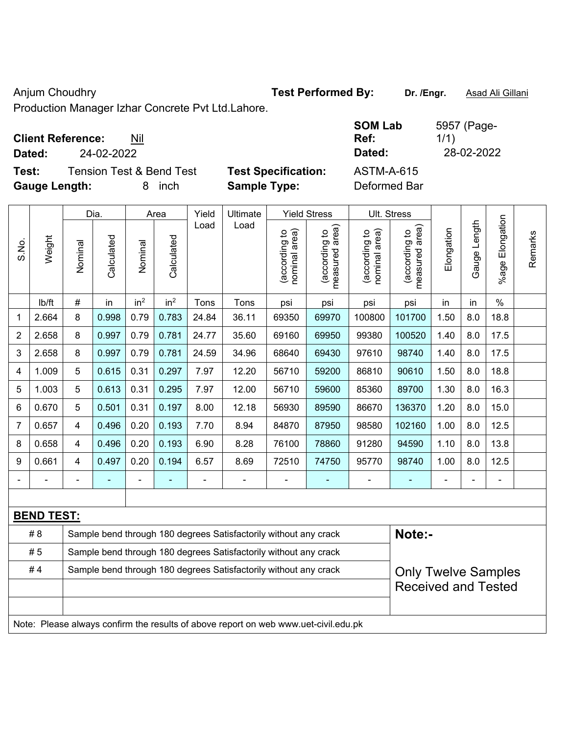Anjum Choudhry **Test Performed By:** Dr. /Engr. **Asad Ali Gillani** Anjum Choudhry

Production Manager Izhar Concrete Pvt Ltd.Lahore.

| <b>Client Reference:</b> | Nil |
|--------------------------|-----|
|--------------------------|-----|

**Test:** Tension Test & Bend Test **Test Specification:** ASTM-A-615 **Gauge Length:** 8 inch **Sample Type:** Deformed Bar

**SOM Lab Ref:**  5957 (Page-1/1) **Dated:** 24-02-2022 **Dated:** 28-02-2022

|                |                   |                                                                  | Dia.       |                 | Area            | Yield | Ultimate                                                                            |                                | <b>Yield Stress</b>                         |                                | Ult. Stress                     |                |                |                       |         |
|----------------|-------------------|------------------------------------------------------------------|------------|-----------------|-----------------|-------|-------------------------------------------------------------------------------------|--------------------------------|---------------------------------------------|--------------------------------|---------------------------------|----------------|----------------|-----------------------|---------|
| S.No.          | Weight            | Nominal                                                          | Calculated | Nominal         | Calculated      | Load  | Load                                                                                | nominal area)<br>(according to | (according to<br>neasured area)<br>measured | nominal area)<br>(according to | (according to<br>measured area) | Elongation     | Gauge Length   | Elongation<br>$%$ age | Remarks |
|                | lb/ft             | $\#$                                                             | in         | in <sup>2</sup> | in <sup>2</sup> | Tons  | Tons                                                                                | psi                            | psi                                         | psi                            | psi                             | in             | in             | $\frac{0}{0}$         |         |
| 1              | 2.664             | 8                                                                | 0.998      | 0.79            | 0.783           | 24.84 | 36.11                                                                               | 69350                          | 69970                                       | 100800                         | 101700                          | 1.50           | 8.0            | 18.8                  |         |
| $\overline{2}$ | 2.658             | 8                                                                | 0.997      | 0.79            | 0.781           | 24.77 | 35.60                                                                               | 69160                          | 69950                                       | 99380                          | 100520                          | 1.40           | 8.0            | 17.5                  |         |
| 3              | 2.658             | 8                                                                | 0.997      | 0.79            | 0.781           | 24.59 | 34.96                                                                               | 68640                          | 69430                                       | 97610                          | 98740                           | 1.40           | 8.0            | 17.5                  |         |
| 4              | 1.009             | 5                                                                | 0.615      | 0.31            | 0.297           | 7.97  | 12.20                                                                               | 56710                          | 59200                                       | 86810                          | 90610                           | 1.50           | 8.0            | 18.8                  |         |
| 5              | 1.003             | 5                                                                | 0.613      | 0.31            | 0.295           | 7.97  | 12.00                                                                               | 56710                          | 59600                                       | 85360                          | 89700                           | 1.30           | 8.0            | 16.3                  |         |
| 6              | 0.670             | 5                                                                | 0.501      | 0.31            | 0.197           | 8.00  | 12.18                                                                               | 56930                          | 89590                                       | 86670                          | 136370                          | 1.20           | 8.0            | 15.0                  |         |
| $\overline{7}$ | 0.657             | $\overline{4}$                                                   | 0.496      | 0.20            | 0.193           | 7.70  | 8.94                                                                                | 84870                          | 87950                                       | 98580                          | 102160                          | 1.00           | 8.0            | 12.5                  |         |
| 8              | 0.658             | $\overline{4}$                                                   | 0.496      | 0.20            | 0.193           | 6.90  | 8.28                                                                                | 76100                          | 78860                                       | 91280                          | 94590                           | 1.10           | 8.0            | 13.8                  |         |
| 9              | 0.661             | $\overline{4}$                                                   | 0.497      | 0.20            | 0.194           | 6.57  | 8.69                                                                                | 72510                          | 74750                                       | 95770                          | 98740                           | 1.00           | 8.0            | 12.5                  |         |
|                |                   |                                                                  | ä,         | $\blacksquare$  | ä,              | ä,    | $\blacksquare$                                                                      | $\overline{\phantom{a}}$       | ÷                                           | $\blacksquare$                 | ÷                               | $\blacksquare$ | $\blacksquare$ | $\blacksquare$        |         |
|                |                   |                                                                  |            |                 |                 |       |                                                                                     |                                |                                             |                                |                                 |                |                |                       |         |
|                | <b>BEND TEST:</b> |                                                                  |            |                 |                 |       |                                                                                     |                                |                                             |                                |                                 |                |                |                       |         |
|                | #8                |                                                                  |            |                 |                 |       | Sample bend through 180 degrees Satisfactorily without any crack                    |                                |                                             |                                | Note:-                          |                |                |                       |         |
|                | #5                | Sample bend through 180 degrees Satisfactorily without any crack |            |                 |                 |       |                                                                                     |                                |                                             |                                |                                 |                |                |                       |         |
|                | #4                |                                                                  |            |                 |                 |       | Sample bend through 180 degrees Satisfactorily without any crack                    |                                |                                             |                                | <b>Only Twelve Samples</b>      |                |                |                       |         |
|                |                   |                                                                  |            |                 |                 |       |                                                                                     |                                |                                             |                                | <b>Received and Tested</b>      |                |                |                       |         |
|                |                   |                                                                  |            |                 |                 |       |                                                                                     |                                |                                             |                                |                                 |                |                |                       |         |
|                |                   |                                                                  |            |                 |                 |       | Note: Please always confirm the results of above report on web www.uet-civil.edu.pk |                                |                                             |                                |                                 |                |                |                       |         |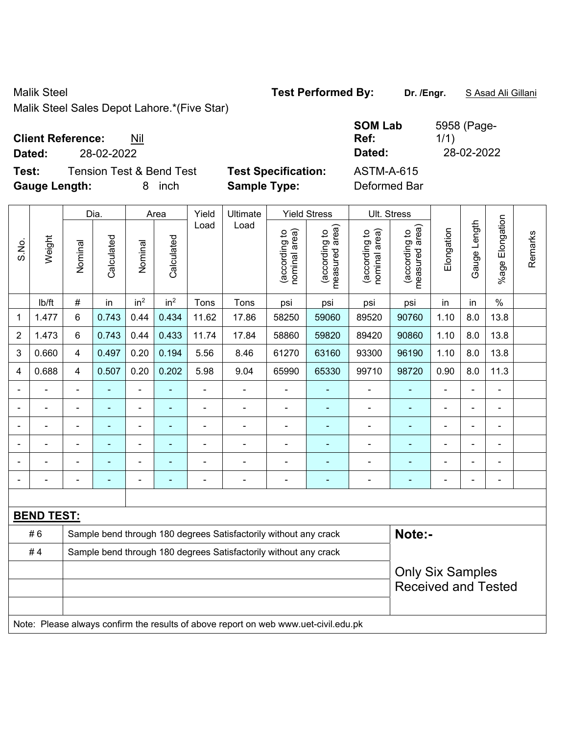Malik Steel **Test Performed By: Dr. /Engr.** S Asad Ali Gillani

Malik Steel Sales Depot Lahore.\*(Five Star)

| <b>Client Reference:</b> | Nil |
|--------------------------|-----|
|--------------------------|-----|

**Dated:** 28-02-2022 **Dated:** 28-02-2022

**Test:** Tension Test & Bend Test **Test Specification: Gauge Length:** 8 inch **Sample Type:** Deformed Bar

| <b>SOM Lab</b><br>Ref: | 5958 (Page-<br>1/1) |
|------------------------|---------------------|
| Dated:                 | 28-02-2022          |
| <b>ASTM-A-615</b>      |                     |
|                        |                     |

|                |                   |                         | Dia.                                                             |                 | Area                    |                | <b>Ult. Stress</b>                                                                  |                                |                                             |                                |                                 |            |                |                    |         |
|----------------|-------------------|-------------------------|------------------------------------------------------------------|-----------------|-------------------------|----------------|-------------------------------------------------------------------------------------|--------------------------------|---------------------------------------------|--------------------------------|---------------------------------|------------|----------------|--------------------|---------|
| S.No.          | Weight            | Nominal                 | Calculated                                                       | Nominal         | Calculated              | Load           | Load                                                                                | nominal area)<br>(according to | (according to<br>measured area)<br>measured | (according to<br>nominal area) | (according to<br>measured area) | Elongation | Gauge Length   | Elongation<br>%age | Remarks |
|                | lb/ft             | #                       | in                                                               | in <sup>2</sup> | in <sup>2</sup>         | Tons           | Tons                                                                                | psi                            | psi                                         | psi                            | psi                             | in         | in             | $\%$               |         |
| 1              | 1.477             | 6                       | 0.743                                                            | 0.44            | 0.434                   | 11.62          | 17.86                                                                               | 58250                          | 59060                                       | 89520                          | 90760                           | 1.10       | 8.0            | 13.8               |         |
| $\overline{2}$ | 1.473             | 6                       | 0.743                                                            | 0.44            | 0.433                   | 11.74          | 17.84                                                                               | 58860                          | 59820                                       | 89420                          | 90860                           | 1.10       | 8.0            | 13.8               |         |
| 3              | 0.660             | $\overline{4}$          | 0.497                                                            | 0.20            | 0.194                   | 5.56           | 8.46                                                                                | 61270                          | 63160                                       | 93300                          | 96190                           | 1.10       | 8.0            | 13.8               |         |
| $\overline{4}$ | 0.688             | $\overline{\mathbf{4}}$ | 0.507                                                            | 0.20            | 0.202                   | 5.98           | 9.04                                                                                | 65990                          | 65330                                       | 99710                          | 98720                           | 0.90       | 8.0            | 11.3               |         |
|                | $\blacksquare$    | $\blacksquare$          | $\blacksquare$                                                   | $\blacksquare$  | ÷,                      | $\blacksquare$ | ÷,                                                                                  | ä,                             | ÷,                                          | $\blacksquare$                 | ä,                              | L.         | $\blacksquare$ | $\blacksquare$     |         |
|                |                   |                         | $\blacksquare$                                                   | ÷,              | ٠                       | ä,             | $\blacksquare$                                                                      |                                | $\blacksquare$                              | $\blacksquare$                 | $\blacksquare$                  |            |                | $\blacksquare$     |         |
|                |                   |                         | $\blacksquare$                                                   | $\blacksquare$  |                         |                | $\overline{a}$                                                                      |                                | ٠                                           | $\blacksquare$                 | $\blacksquare$                  |            |                | $\blacksquare$     |         |
|                |                   |                         |                                                                  | $\blacksquare$  |                         | L,             | $\blacksquare$                                                                      |                                |                                             |                                |                                 |            |                | $\blacksquare$     |         |
|                |                   |                         |                                                                  | ÷               |                         |                | $\blacksquare$                                                                      |                                | ٠                                           |                                |                                 |            |                | $\overline{a}$     |         |
|                |                   |                         | $\blacksquare$                                                   | -               | ٠                       |                | $\blacksquare$                                                                      | $\blacksquare$                 | $\overline{\phantom{0}}$                    | $\overline{\phantom{0}}$       | ۰                               | ۰          |                | $\blacksquare$     |         |
|                |                   |                         |                                                                  |                 |                         |                |                                                                                     |                                |                                             |                                |                                 |            |                |                    |         |
|                | <b>BEND TEST:</b> |                         |                                                                  |                 |                         |                |                                                                                     |                                |                                             |                                |                                 |            |                |                    |         |
|                | #6                |                         |                                                                  |                 |                         |                | Sample bend through 180 degrees Satisfactorily without any crack                    |                                |                                             |                                | Note:-                          |            |                |                    |         |
|                | #4                |                         | Sample bend through 180 degrees Satisfactorily without any crack |                 |                         |                |                                                                                     |                                |                                             |                                |                                 |            |                |                    |         |
|                |                   |                         |                                                                  |                 | <b>Only Six Samples</b> |                |                                                                                     |                                |                                             |                                |                                 |            |                |                    |         |
|                |                   |                         |                                                                  |                 |                         |                |                                                                                     |                                |                                             |                                | <b>Received and Tested</b>      |            |                |                    |         |
|                |                   |                         |                                                                  |                 |                         |                |                                                                                     |                                |                                             |                                |                                 |            |                |                    |         |
|                |                   |                         |                                                                  |                 |                         |                | Note: Please always confirm the results of above report on web www.uet-civil.edu.pk |                                |                                             |                                |                                 |            |                |                    |         |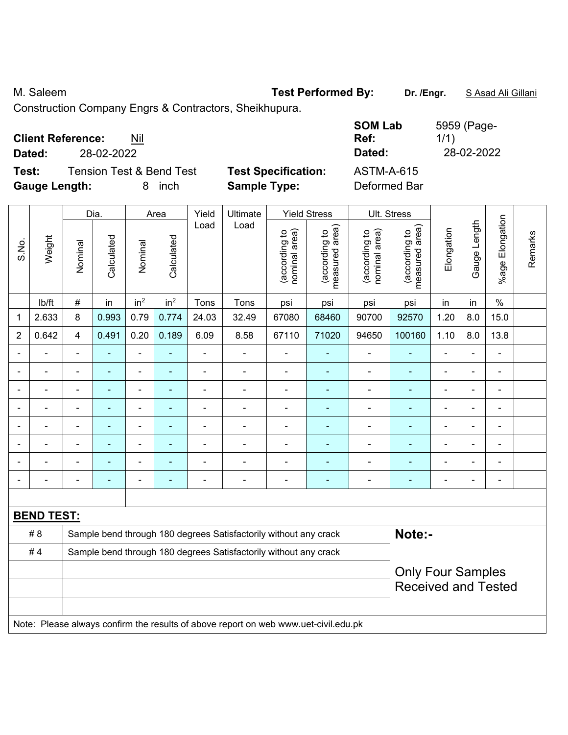M. Saleem **Test Performed By:** Dr. /Engr. **SAsad Ali Gillani M. Saleem** 

Construction Company Engrs & Contractors, Sheikhupura.

| <b>Client Reference:</b><br>Nil<br>28-02-2022<br>Dated:             |                                                   | <b>SOM Lab</b><br>Ref:<br>Dated: | 5959 (Page-<br>1/1)<br>28-02-2022 |
|---------------------------------------------------------------------|---------------------------------------------------|----------------------------------|-----------------------------------|
| Test:                                                               |                                                   | <b>ASTM-A-615</b>                |                                   |
| <b>Tension Test &amp; Bend Test</b><br><b>Gauge Length:</b><br>inch | <b>Test Specification:</b><br><b>Sample Type:</b> | Deformed Bar                     |                                   |

|                          |                   |                | Dia.           |                          | Area                     | Yield          | Ultimate                                                                            |                                | <b>Yield Stress</b>             |                                | Ult. Stress                     |                          |                |                          |         |
|--------------------------|-------------------|----------------|----------------|--------------------------|--------------------------|----------------|-------------------------------------------------------------------------------------|--------------------------------|---------------------------------|--------------------------------|---------------------------------|--------------------------|----------------|--------------------------|---------|
| S.No.                    | Weight            | Nominal        | Calculated     | Nominal                  | Calculated               | Load           | Load                                                                                | nominal area)<br>(according to | (according to<br>measured area) | nominal area)<br>(according to | measured area)<br>(according to | Elongation               | Gauge Length   | %age Elongation          | Remarks |
|                          | lb/ft             | $\#$           | in             | in <sup>2</sup>          | in <sup>2</sup>          | Tons           | Tons                                                                                | psi                            | psi                             | psi                            | psi                             | in                       | in             | $\%$                     |         |
| 1                        | 2.633             | 8              | 0.993          | 0.79                     | 0.774                    | 24.03          | 32.49                                                                               | 67080                          | 68460                           | 90700                          | 92570                           | 1.20                     | 8.0            | 15.0                     |         |
| $\overline{2}$           | 0.642             | 4              | 0.491          | 0.20                     | 0.189                    | 6.09           | 8.58                                                                                | 67110                          | 71020                           | 94650                          | 100160                          | 1.10                     | 8.0            | 13.8                     |         |
| $\blacksquare$           | ä,                |                | ÷              | $\blacksquare$           | $\blacksquare$           | $\blacksquare$ | $\blacksquare$                                                                      | ÷                              | $\blacksquare$                  | $\blacksquare$                 | $\blacksquare$                  | $\blacksquare$           | $\blacksquare$ | $\blacksquare$           |         |
|                          | $\blacksquare$    | $\blacksquare$ | $\blacksquare$ | $\blacksquare$           | $\blacksquare$           | $\blacksquare$ | $\blacksquare$                                                                      | $\blacksquare$                 | $\blacksquare$                  | $\overline{\phantom{0}}$       | $\blacksquare$                  | $\overline{\phantom{0}}$ | $\overline{a}$ | $\overline{\phantom{a}}$ |         |
|                          | $\blacksquare$    | $\blacksquare$ | $\blacksquare$ | $\blacksquare$           | $\blacksquare$           | L,             | $\blacksquare$                                                                      | $\blacksquare$                 | $\blacksquare$                  | $\blacksquare$                 | $\blacksquare$                  | $\blacksquare$           | ÷              | $\blacksquare$           |         |
|                          | $\blacksquare$    |                | $\blacksquare$ | $\overline{\phantom{a}}$ | $\overline{\phantom{a}}$ | $\blacksquare$ | $\blacksquare$                                                                      | $\blacksquare$                 | $\blacksquare$                  | $\blacksquare$                 | $\blacksquare$                  | Ē.                       | $\blacksquare$ | $\blacksquare$           |         |
|                          |                   |                | ÷              | $\blacksquare$           | ٠                        |                | $\blacksquare$                                                                      | $\blacksquare$                 | $\blacksquare$                  | $\blacksquare$                 |                                 | Ē.                       | $\blacksquare$ | $\blacksquare$           |         |
|                          |                   |                |                | $\blacksquare$           |                          |                |                                                                                     |                                |                                 |                                |                                 |                          | ÷              | $\blacksquare$           |         |
|                          |                   |                |                | $\blacksquare$           |                          |                |                                                                                     | $\overline{\phantom{a}}$       | $\blacksquare$                  | $\blacksquare$                 |                                 |                          | $\blacksquare$ | $\blacksquare$           |         |
| $\overline{\phantom{0}}$ |                   |                |                | $\blacksquare$           | ٠                        |                | $\blacksquare$                                                                      | $\blacksquare$                 | ٠                               | ÷                              |                                 | $\blacksquare$           | $\blacksquare$ | $\blacksquare$           |         |
|                          |                   |                |                |                          |                          |                |                                                                                     |                                |                                 |                                |                                 |                          |                |                          |         |
|                          | <b>BEND TEST:</b> |                |                |                          |                          |                |                                                                                     |                                |                                 |                                |                                 |                          |                |                          |         |
|                          | # 8               |                |                |                          |                          |                | Sample bend through 180 degrees Satisfactorily without any crack                    |                                |                                 |                                | Note:-                          |                          |                |                          |         |
|                          | #4                |                |                |                          |                          |                | Sample bend through 180 degrees Satisfactorily without any crack                    |                                |                                 |                                |                                 |                          |                |                          |         |
|                          |                   |                |                |                          |                          |                |                                                                                     |                                |                                 |                                | <b>Only Four Samples</b>        |                          |                |                          |         |
|                          |                   |                |                |                          |                          |                |                                                                                     |                                |                                 |                                | <b>Received and Tested</b>      |                          |                |                          |         |
|                          |                   |                |                |                          |                          |                |                                                                                     |                                |                                 |                                |                                 |                          |                |                          |         |
|                          |                   |                |                |                          |                          |                | Note: Please always confirm the results of above report on web www.uet-civil.edu.pk |                                |                                 |                                |                                 |                          |                |                          |         |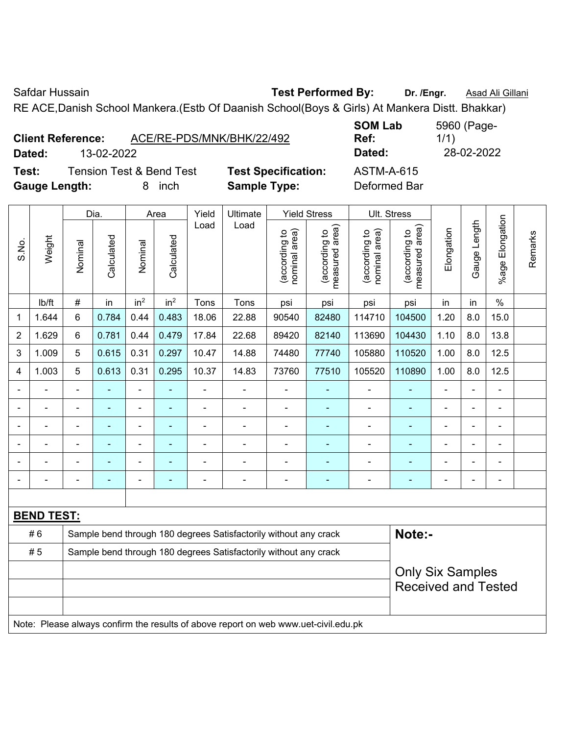Safdar Hussain **Test Performed By:** Dr. /Engr. **Asad Ali Gillani** Care and Dr. /Engr. **Asad Ali Gillani** 

RE ACE,Danish School Mankera.(Estb Of Daanish School(Boys & Girls) At Mankera Distt. Bhakkar)

| <b>Client Reference:</b> |            |                                     | ACE/RE-PDS/MNK/BHK/22/492  | UVIII LUM<br>Ref: |
|--------------------------|------------|-------------------------------------|----------------------------|-------------------|
| Dated:                   | 13-02-2022 |                                     |                            | Dated:            |
| Test:                    |            | <b>Tension Test &amp; Bend Test</b> | <b>Test Specification:</b> | ASTM-A-615        |
| <b>Gauge Length:</b>     |            | inch<br>x                           | <b>Sample Type:</b>        | Deformed Bar      |

**SOM Lab Ref:**  5960 (Page-1/1) **Dated:** 13-02-2022 **Dated:** 28-02-2022 **Test:** ASTM-A-615

|                |                   |                            | Dia.       |                 | Area            | Yield          | Ultimate                                                                            |                                | <b>Yield Stress</b>             | Ult. Stress                    |                                 |                |              |                       |         |
|----------------|-------------------|----------------------------|------------|-----------------|-----------------|----------------|-------------------------------------------------------------------------------------|--------------------------------|---------------------------------|--------------------------------|---------------------------------|----------------|--------------|-----------------------|---------|
| S.No.          | Weight            | Nominal                    | Calculated | Nominal         | Calculated      | Load           | Load                                                                                | nominal area)<br>(according to | (according to<br>measured area) | nominal area)<br>(according to | measured area)<br>(according to | Elongation     | Gauge Length | Elongation<br>$%$ age | Remarks |
|                | lb/ft             | $\#$                       | in         | in <sup>2</sup> | in <sup>2</sup> | Tons           | Tons                                                                                | psi                            | psi                             | psi                            | psi                             | in             | in           | $\frac{0}{0}$         |         |
| 1              | 1.644             | $6\phantom{1}$             | 0.784      | 0.44            | 0.483           | 18.06          | 22.88                                                                               | 90540                          | 82480                           | 114710                         | 104500                          | 1.20           | 8.0          | 15.0                  |         |
| $\overline{2}$ | 1.629             | 6                          | 0.781      | 0.44            | 0.479           | 17.84          | 22.68                                                                               | 89420                          | 82140                           | 113690                         | 104430                          | 1.10           | 8.0          | 13.8                  |         |
| 3              | 1.009             | 5                          | 0.615      | 0.31            | 0.297           | 10.47          | 14.88                                                                               | 74480                          | 77740                           | 105880                         | 110520                          | 1.00           | 8.0          | 12.5                  |         |
| 4              | 1.003             | 5                          | 0.613      | 0.31            | 0.295           | 10.37          | 14.83                                                                               | 73760                          | 77510                           | 105520                         | 110890                          | 1.00           | 8.0          | 12.5                  |         |
|                |                   | $\blacksquare$             |            | ä,              | $\blacksquare$  | ä,             | $\blacksquare$                                                                      | $\blacksquare$                 | $\blacksquare$                  | $\blacksquare$                 | ä,                              | ä,             |              | L,                    |         |
|                |                   |                            |            | ä,              | ä,              | ä,             | $\blacksquare$                                                                      | Ē,                             | ä,                              | $\blacksquare$                 | ä,                              |                |              |                       |         |
|                |                   |                            |            | $\blacksquare$  | $\blacksquare$  | $\blacksquare$ |                                                                                     | $\blacksquare$                 | $\blacksquare$                  | $\blacksquare$                 | ۰                               |                |              |                       |         |
|                |                   | $\blacksquare$             |            | $\blacksquare$  |                 |                |                                                                                     |                                |                                 |                                | ۰                               | ÷              |              | Ē,                    |         |
|                |                   |                            |            | ÷               |                 |                | $\blacksquare$                                                                      |                                |                                 | $\blacksquare$                 | ÷                               |                |              |                       |         |
|                |                   | L,                         |            |                 | Ē.              |                | $\blacksquare$                                                                      | Ē,                             | ÷                               |                                | ۰                               | $\blacksquare$ |              | $\blacksquare$        |         |
|                |                   |                            |            |                 |                 |                |                                                                                     |                                |                                 |                                |                                 |                |              |                       |         |
|                | <b>BEND TEST:</b> |                            |            |                 |                 |                |                                                                                     |                                |                                 |                                |                                 |                |              |                       |         |
|                | #6                |                            |            |                 |                 |                | Sample bend through 180 degrees Satisfactorily without any crack                    |                                |                                 |                                | Note:-                          |                |              |                       |         |
|                | # 5               |                            |            |                 |                 |                | Sample bend through 180 degrees Satisfactorily without any crack                    |                                |                                 |                                |                                 |                |              |                       |         |
|                |                   | <b>Only Six Samples</b>    |            |                 |                 |                |                                                                                     |                                |                                 |                                |                                 |                |              |                       |         |
|                |                   | <b>Received and Tested</b> |            |                 |                 |                |                                                                                     |                                |                                 |                                |                                 |                |              |                       |         |
|                |                   |                            |            |                 |                 |                |                                                                                     |                                |                                 |                                |                                 |                |              |                       |         |
|                |                   |                            |            |                 |                 |                | Note: Please always confirm the results of above report on web www.uet-civil.edu.pk |                                |                                 |                                |                                 |                |              |                       |         |
|                |                   |                            |            |                 |                 |                |                                                                                     |                                |                                 |                                |                                 |                |              |                       |         |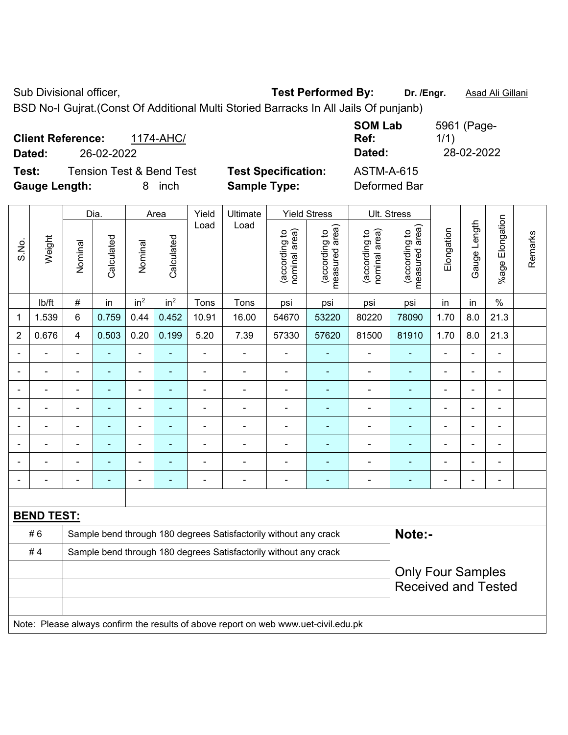Sub Divisional officer, **Test Performed By:** Dr. /Engr. **Asad Ali Gillani** Associated By: Dr. /Engr. **Asad Ali Gillani** 

BSD No-I Gujrat.(Const Of Additional Multi Storied Barracks In All Jails Of punjanb)

| <b>Client Reference:</b><br>1174-AHC/<br>26-02-2022<br>Dated: |                            | <b>SOM Lab</b><br>Ref:<br>Dated: | 5961 (Page-<br>1/1)<br>28-02-2022 |
|---------------------------------------------------------------|----------------------------|----------------------------------|-----------------------------------|
| <b>Tension Test &amp; Bend Test</b><br>Test:                  | <b>Test Specification:</b> | <b>ASTM-A-615</b>                |                                   |
| <b>Gauge Length:</b><br>inch<br>8.                            | <b>Sample Type:</b>        | Deformed Bar                     |                                   |

|                |                   |                                                                  | Dia.                     |                          | Area            | Yield          |                                                                                     | Ult. Stress                    |                                 |                                |                                 |                |              |                         |         |
|----------------|-------------------|------------------------------------------------------------------|--------------------------|--------------------------|-----------------|----------------|-------------------------------------------------------------------------------------|--------------------------------|---------------------------------|--------------------------------|---------------------------------|----------------|--------------|-------------------------|---------|
| S.No.          | Weight            | Nominal                                                          | Calculated               | Nominal                  | Calculated      | Load           | Load                                                                                | nominal area)<br>(according to | (according to<br>measured area) | nominal area)<br>(according to | (according to<br>measured area) | Elongation     | Gauge Length | Elongation<br>$%$ age I | Remarks |
|                | lb/ft             | $\#$                                                             | in                       | in <sup>2</sup>          | in <sup>2</sup> | Tons           | Tons                                                                                | psi                            | psi                             | psi                            | psi                             | in             | in           | $\%$                    |         |
| 1              | 1.539             | 6                                                                | 0.759                    | 0.44                     | 0.452           | 10.91          | 16.00                                                                               | 54670                          | 53220                           | 80220                          | 78090                           | 1.70           | 8.0          | 21.3                    |         |
| $\overline{2}$ | 0.676             | $\overline{4}$                                                   | 0.503                    | 0.20                     | 0.199           | 5.20           | 7.39                                                                                | 57330                          | 57620                           | 81500                          | 81910                           | 1.70           | 8.0          | 21.3                    |         |
| $\blacksquare$ | ÷                 | $\blacksquare$                                                   | $\blacksquare$           | $\blacksquare$           | ä,              | $\blacksquare$ | $\blacksquare$                                                                      | ä,                             | $\blacksquare$                  | ä,                             | $\blacksquare$                  | $\blacksquare$ | ä,           | ä,                      |         |
| $\blacksquare$ | $\overline{a}$    | $\blacksquare$                                                   | $\blacksquare$           | $\overline{\phantom{a}}$ | $\blacksquare$  | $\blacksquare$ | ä,                                                                                  | $\blacksquare$                 | $\blacksquare$                  | $\overline{\phantom{a}}$       | $\blacksquare$                  | $\blacksquare$ | L,           | $\blacksquare$          |         |
| $\blacksquare$ | ä,                | $\blacksquare$                                                   | $\blacksquare$           | $\overline{\phantom{a}}$ | ÷               | $\blacksquare$ | $\frac{1}{2}$                                                                       | $\blacksquare$                 | $\blacksquare$                  | $\blacksquare$                 | $\blacksquare$                  | $\blacksquare$ | ÷,           | $\blacksquare$          |         |
|                | $\overline{a}$    | $\blacksquare$                                                   | $\blacksquare$           | $\overline{\phantom{a}}$ | $\overline{a}$  | $\blacksquare$ | $\blacksquare$                                                                      | $\blacksquare$                 | $\blacksquare$                  | $\blacksquare$                 | ٠                               | $\blacksquare$ | ä,           | $\blacksquare$          |         |
|                |                   |                                                                  | $\blacksquare$           | $\blacksquare$           |                 |                |                                                                                     | $\blacksquare$                 | $\blacksquare$                  | $\blacksquare$                 | $\blacksquare$                  | $\blacksquare$ | ÷            | $\blacksquare$          |         |
|                |                   |                                                                  |                          |                          |                 |                |                                                                                     |                                |                                 |                                |                                 |                |              | $\blacksquare$          |         |
|                |                   |                                                                  |                          | ۰                        |                 |                |                                                                                     | $\blacksquare$                 |                                 | $\overline{\phantom{0}}$       |                                 |                | ÷            | $\blacksquare$          |         |
| $\blacksquare$ |                   | $\overline{\phantom{0}}$                                         | $\overline{\phantom{0}}$ | $\overline{\phantom{a}}$ | ٠               | $\blacksquare$ | $\blacksquare$                                                                      | $\blacksquare$                 | $\overline{\phantom{a}}$        | $\overline{a}$                 | $\blacksquare$                  | ۰              | ÷,           | $\blacksquare$          |         |
|                |                   |                                                                  |                          |                          |                 |                |                                                                                     |                                |                                 |                                |                                 |                |              |                         |         |
|                | <b>BEND TEST:</b> |                                                                  |                          |                          |                 |                |                                                                                     |                                |                                 |                                |                                 |                |              |                         |         |
|                | #6                |                                                                  |                          |                          |                 |                | Sample bend through 180 degrees Satisfactorily without any crack                    |                                |                                 |                                | Note:-                          |                |              |                         |         |
|                | #4                | Sample bend through 180 degrees Satisfactorily without any crack |                          |                          |                 |                |                                                                                     |                                |                                 |                                |                                 |                |              |                         |         |
|                |                   |                                                                  |                          |                          |                 |                |                                                                                     |                                |                                 |                                | <b>Only Four Samples</b>        |                |              |                         |         |
|                |                   |                                                                  |                          |                          |                 |                |                                                                                     |                                |                                 |                                | <b>Received and Tested</b>      |                |              |                         |         |
|                |                   |                                                                  |                          |                          |                 |                |                                                                                     |                                |                                 |                                |                                 |                |              |                         |         |
|                |                   |                                                                  |                          |                          |                 |                | Note: Please always confirm the results of above report on web www.uet-civil.edu.pk |                                |                                 |                                |                                 |                |              |                         |         |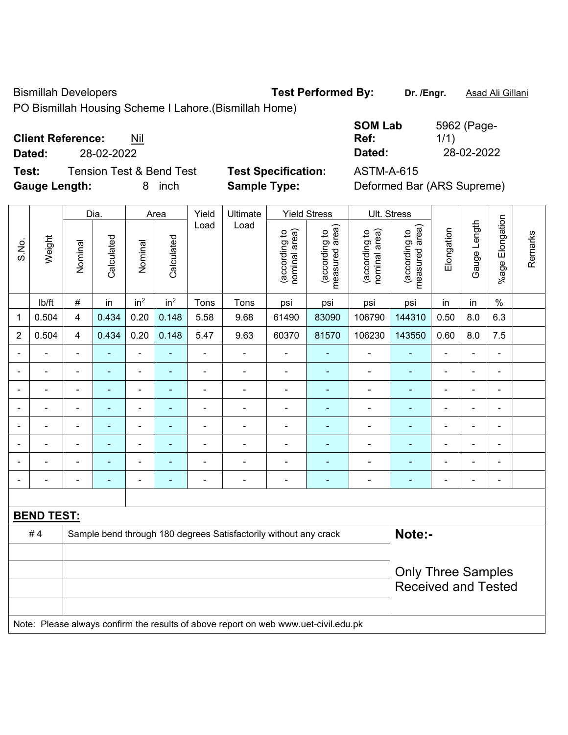Bismillah Developers **Test Performed By:** Dr. /Engr. **Asad Ali Gillani** 

PO Bismillah Housing Scheme I Lahore.(Bismillah Home)

| <b>Client Reference:</b> | Nil |
|--------------------------|-----|
|--------------------------|-----|

**Dated:** 28-02-2022 **Dated:** 28-02-2022

**Test:** Tension Test & Bend Test **Test Specification:** ASTM-A-615 **Gauge Length:** 8 inch **Sample Type:** Deformed Bar (ARS Supreme)

| <b>SOM Lab</b> | 5962 (Page- |
|----------------|-------------|
| Ref:           | 1/1)        |
| Dated:         | 28-02-2022  |

|                |                   |                         | Dia.                     |                          | Area            | Yield          | Ultimate                                                                            |                                | <b>Yield Stress</b>             |                                | Ult. Stress                     |                |                |                          |         |
|----------------|-------------------|-------------------------|--------------------------|--------------------------|-----------------|----------------|-------------------------------------------------------------------------------------|--------------------------------|---------------------------------|--------------------------------|---------------------------------|----------------|----------------|--------------------------|---------|
| S.No.          | Weight            | Nominal                 | Calculated               | Nominal                  | Calculated      | Load           | Load                                                                                | nominal area)<br>(according to | (according to<br>measured area) | (according to<br>nominal area) | measured area)<br>(according to | Elongation     | Gauge Length   | %age Elongation          | Remarks |
|                | Ib/ft             | $\#$                    | in                       | in <sup>2</sup>          | in <sup>2</sup> | Tons           | Tons                                                                                | psi                            | psi                             | psi                            | psi                             | in             | in             | $\frac{0}{0}$            |         |
| 1              | 0.504             | $\overline{\mathbf{4}}$ | 0.434                    | 0.20                     | 0.148           | 5.58           | 9.68                                                                                | 61490                          | 83090                           | 106790                         | 144310                          | 0.50           | 8.0            | 6.3                      |         |
| $\overline{2}$ | 0.504             | $\overline{4}$          | 0.434                    | 0.20                     | 0.148           | 5.47           | 9.63                                                                                | 60370                          | 81570                           | 106230                         | 143550                          | 0.60           | 8.0            | 7.5                      |         |
| $\blacksquare$ | $\blacksquare$    | $\blacksquare$          | $\blacksquare$           | $\blacksquare$           | $\blacksquare$  | $\blacksquare$ | $\blacksquare$                                                                      | $\blacksquare$                 | $\blacksquare$                  | $\qquad \qquad \blacksquare$   | $\blacksquare$                  | $\blacksquare$ | $\blacksquare$ | $\blacksquare$           |         |
|                | $\blacksquare$    | $\blacksquare$          | $\blacksquare$           | $\blacksquare$           | $\blacksquare$  | $\blacksquare$ | $\blacksquare$                                                                      | $\blacksquare$                 | $\blacksquare$                  | ÷,                             | $\blacksquare$                  | $\blacksquare$ | ÷              | $\blacksquare$           |         |
|                | $\blacksquare$    |                         | $\blacksquare$           | $\blacksquare$           | $\blacksquare$  | ä,             | ÷,                                                                                  | $\blacksquare$                 | $\blacksquare$                  | $\blacksquare$                 | $\blacksquare$                  | ä,             | ä,             | $\blacksquare$           |         |
|                |                   |                         | $\blacksquare$           | $\overline{\phantom{a}}$ | ۰               |                | $\blacksquare$                                                                      | $\blacksquare$                 | ٠                               | $\blacksquare$                 | ä,                              |                |                | $\blacksquare$           |         |
|                |                   |                         |                          | ä,                       |                 |                | ä,                                                                                  | $\blacksquare$                 | ä,                              | $\blacksquare$                 | ä,                              |                |                | $\blacksquare$           |         |
| $\blacksquare$ | ÷                 | $\blacksquare$          | $\blacksquare$           | $\overline{\phantom{a}}$ | $\blacksquare$  | $\blacksquare$ | $\frac{1}{2}$                                                                       | $\overline{\phantom{a}}$       | $\blacksquare$                  | ä,                             | $\blacksquare$                  | $\blacksquare$ | ä,             | $\overline{\phantom{a}}$ |         |
|                |                   |                         | $\overline{\phantom{a}}$ | $\blacksquare$           | $\blacksquare$  |                | $\blacksquare$                                                                      | $\blacksquare$                 | $\blacksquare$                  | $\blacksquare$                 | ä,                              | $\blacksquare$ |                | $\blacksquare$           |         |
|                | ÷                 |                         | $\blacksquare$           | $\overline{\phantom{a}}$ | $\blacksquare$  | Ē,             | ÷,                                                                                  | $\blacksquare$                 | $\blacksquare$                  | $\blacksquare$                 | ÷                               | ÷              |                | $\blacksquare$           |         |
|                |                   |                         |                          |                          |                 |                |                                                                                     |                                |                                 |                                |                                 |                |                |                          |         |
|                | <b>BEND TEST:</b> |                         |                          |                          |                 |                |                                                                                     |                                |                                 |                                |                                 |                |                |                          |         |
|                | #4                |                         |                          |                          |                 |                | Sample bend through 180 degrees Satisfactorily without any crack                    |                                |                                 |                                | Note:-                          |                |                |                          |         |
|                |                   |                         |                          |                          |                 |                |                                                                                     |                                |                                 |                                |                                 |                |                |                          |         |
|                |                   |                         |                          |                          |                 |                |                                                                                     |                                |                                 |                                | <b>Only Three Samples</b>       |                |                |                          |         |
|                |                   |                         |                          |                          |                 |                |                                                                                     |                                |                                 |                                | <b>Received and Tested</b>      |                |                |                          |         |
|                |                   |                         |                          |                          |                 |                |                                                                                     |                                |                                 |                                |                                 |                |                |                          |         |
|                |                   |                         |                          |                          |                 |                | Note: Please always confirm the results of above report on web www.uet-civil.edu.pk |                                |                                 |                                |                                 |                |                |                          |         |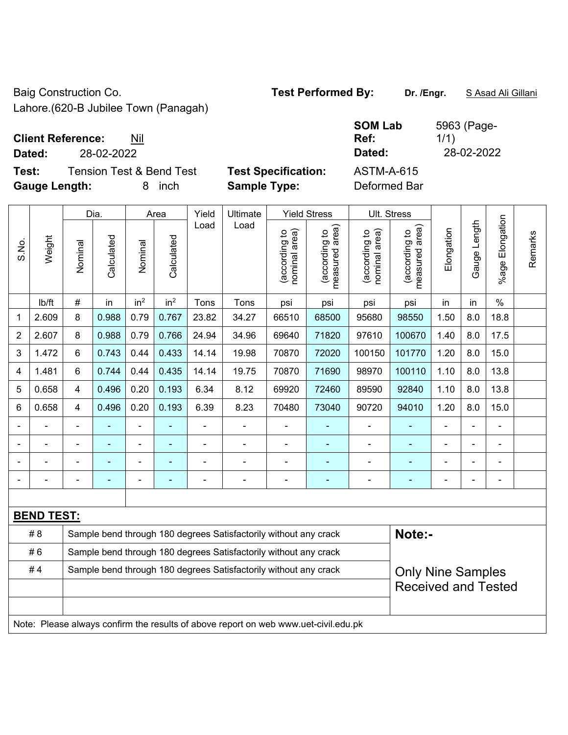Baig Construction Co. **Test Performed By:** Dr. /Engr. **SAsad Ali Gillani** 

Lahore.(620-B Jubilee Town (Panagah)

## **Client Reference:** Nil

**Dated:** 28-02-2022 **Dated:** 28-02-2022

 $\overline{\phantom{a}}$ 

 $\overline{\phantom{a}}$ 

**Test:** Tension Test & Bend Test **Test Specification:** ASTM-A-615 **Gauge Length:** 8 inch **Sample Type:** Deformed Bar

 $\overline{\phantom{a}}$ 

 $\mathbf{\overline{1}}$ 

**SOM Lab Ref:** 

| 5963 (Page- |
|-------------|
| 1/1)        |
| 28-02-2022  |

|                                                                        |                   |                            | Dia.       |                              | Area            |                | Ultimate                                                                            | <b>Yield Stress</b>            |                                             | Ult. Stress                    |                                 |            |                          |                       |         |
|------------------------------------------------------------------------|-------------------|----------------------------|------------|------------------------------|-----------------|----------------|-------------------------------------------------------------------------------------|--------------------------------|---------------------------------------------|--------------------------------|---------------------------------|------------|--------------------------|-----------------------|---------|
| S.No.                                                                  | Weight            | Nominal                    | Calculated | Nominal                      | Calculated      | Load           | Load                                                                                | nominal area)<br>(according to | (according to<br>measured area)<br>measured | (according to<br>nominal area) | (according to<br>measured area) | Elongation | Gauge Length             | Elongation<br>$%$ age | Remarks |
|                                                                        | lb/ft             | #                          | in         | in <sup>2</sup>              | in <sup>2</sup> | Tons           | Tons                                                                                | psi                            | psi                                         | psi                            | psi                             | in         | in                       | $\%$                  |         |
| 1                                                                      | 2.609             | 8                          | 0.988      | 0.79                         | 0.767           | 23.82          | 34.27                                                                               | 66510                          | 68500                                       | 95680                          | 98550                           | 1.50       | 8.0                      | 18.8                  |         |
| 2                                                                      | 2.607             | 8                          | 0.988      | 0.79                         | 0.766           | 24.94          | 34.96                                                                               | 69640                          | 71820                                       | 97610                          | 100670                          | 1.40       | 8.0                      | 17.5                  |         |
| 3                                                                      | 1.472             | 6                          | 0.743      | 0.44                         | 0.433           | 14.14          | 19.98                                                                               | 70870                          | 72020                                       | 100150                         | 101770                          | 1.20       | 8.0                      | 15.0                  |         |
| 4                                                                      | 1.481             | 6                          | 0.744      | 0.44                         | 0.435           | 14.14          | 19.75                                                                               | 70870                          | 71690                                       | 98970                          | 100110                          | 1.10       | 8.0                      | 13.8                  |         |
| 5                                                                      | 0.658             | 4                          | 0.496      | 0.20                         | 0.193           | 6.34           | 8.12                                                                                | 69920                          | 72460                                       | 89590                          | 92840                           | 1.10       | 8.0                      | 13.8                  |         |
| 6                                                                      | 0.658             | $\overline{4}$             | 0.496      | 0.20                         | 0.193           | 6.39           | 8.23                                                                                | 70480                          | 73040                                       | 90720                          | 94010                           | 1.20       | 8.0                      | 15.0                  |         |
|                                                                        |                   | $\blacksquare$             | ä,         | ÷,                           |                 | $\blacksquare$ | ÷,                                                                                  | $\overline{\phantom{a}}$       | $\blacksquare$                              | $\blacksquare$                 | ۰                               | ۰          |                          | $\blacksquare$        |         |
|                                                                        |                   |                            | ÷,         | $\blacksquare$               |                 | $\blacksquare$ |                                                                                     | $\blacksquare$                 | $\blacksquare$                              | $\blacksquare$                 | ÷                               |            |                          | $\blacksquare$        |         |
|                                                                        |                   |                            |            | ۰                            |                 |                |                                                                                     | Ē,                             | ۰                                           | $\blacksquare$                 | ۰                               |            |                          | $\blacksquare$        |         |
|                                                                        |                   | $\blacksquare$             | -          | $\qquad \qquad \blacksquare$ | ۰               | $\blacksquare$ | $\blacksquare$                                                                      | $\qquad \qquad \blacksquare$   | ۰                                           | $\blacksquare$                 | ۰                               | -          | $\overline{\phantom{0}}$ | $\overline{a}$        |         |
|                                                                        |                   |                            |            |                              |                 |                |                                                                                     |                                |                                             |                                |                                 |            |                          |                       |         |
|                                                                        | <b>BEND TEST:</b> |                            |            |                              |                 |                |                                                                                     |                                |                                             |                                |                                 |            |                          |                       |         |
|                                                                        | # 8               |                            |            |                              |                 |                | Sample bend through 180 degrees Satisfactorily without any crack                    |                                |                                             |                                | Note:-                          |            |                          |                       |         |
|                                                                        | #6                |                            |            |                              |                 |                | Sample bend through 180 degrees Satisfactorily without any crack                    |                                |                                             |                                |                                 |            |                          |                       |         |
| #4<br>Sample bend through 180 degrees Satisfactorily without any crack |                   |                            |            |                              |                 |                |                                                                                     |                                | <b>Only Nine Samples</b>                    |                                |                                 |            |                          |                       |         |
|                                                                        |                   | <b>Received and Tested</b> |            |                              |                 |                |                                                                                     |                                |                                             |                                |                                 |            |                          |                       |         |
|                                                                        |                   |                            |            |                              |                 |                |                                                                                     |                                |                                             |                                |                                 |            |                          |                       |         |
|                                                                        |                   |                            |            |                              |                 |                | Note: Please always confirm the results of above report on web www.uet-civil.edu.pk |                                |                                             |                                |                                 |            |                          |                       |         |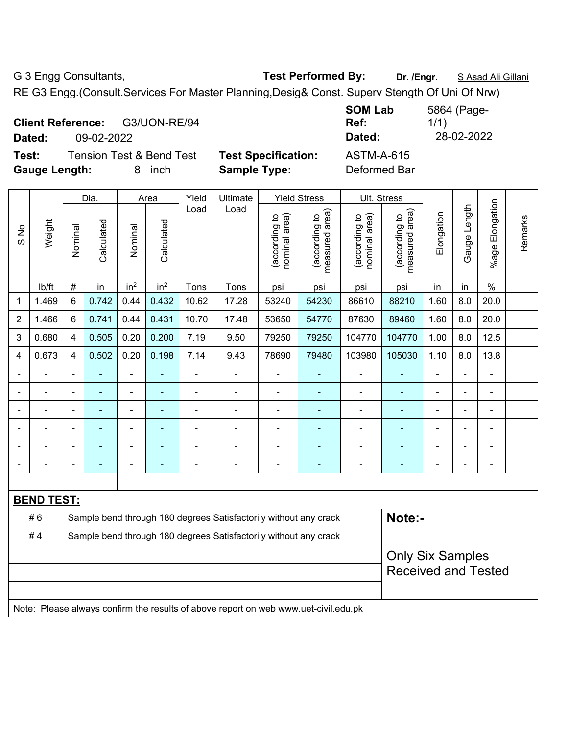G 3 Engg Consultants, **Test Performed By:** Dr. /Engr. **SAsad Ali Gillani** 

RE G3 Engg.(Consult.Services For Master Planning,Desig& Const. Superv Stength Of Uni Of Nrw)

| <b>Client Reference:</b><br>G3/UON-RE/94<br>09-02-2022<br>Dated:             |                                                   | <b>SOM Lab</b><br>Ref:<br>Dated:  | 5864 (Page-<br>1/1)<br>28-02-2022 |
|------------------------------------------------------------------------------|---------------------------------------------------|-----------------------------------|-----------------------------------|
| <b>Tension Test &amp; Bend Test</b><br>Test:<br><b>Gauge Length:</b><br>inch | <b>Test Specification:</b><br><b>Sample Type:</b> | <b>ASTM-A-615</b><br>Deformed Bar |                                   |

|                |                                                                                     |                |                          |                          |                 |                |                                                                  |                |                                | <b>Ult. Stress</b>              |                                |                                 |                |                |                 |
|----------------|-------------------------------------------------------------------------------------|----------------|--------------------------|--------------------------|-----------------|----------------|------------------------------------------------------------------|----------------|--------------------------------|---------------------------------|--------------------------------|---------------------------------|----------------|----------------|-----------------|
|                | Weight                                                                              |                | Dia.                     |                          | Area            | Yield<br>Load  | Ultimate<br>Load                                                 |                | <b>Yield Stress</b>            |                                 |                                |                                 |                |                |                 |
| S.No.          |                                                                                     |                | Nominal                  | Calculated               | Nominal         | Calculated     |                                                                  |                | (according to<br>nominal area) | measured area)<br>(according to | (according to<br>nominal area) | measured area)<br>(according to | Elongation     | Gauge Length   | %age Elongation |
|                | lb/ft                                                                               | $\#$           | in                       | in <sup>2</sup>          | in <sup>2</sup> | Tons           | Tons                                                             | psi            | psi                            | psi                             | psi                            | in                              | in             | $\%$           |                 |
| 1              | 1.469                                                                               | 6              | 0.742                    | 0.44                     | 0.432           | 10.62          | 17.28                                                            | 53240          | 54230                          | 86610                           | 88210                          | 1.60                            | 8.0            | 20.0           |                 |
| $\overline{2}$ | 1.466                                                                               | 6              | 0.741                    | 0.44                     | 0.431           | 10.70          | 17.48                                                            | 53650          | 54770                          | 87630                           | 89460                          | 1.60                            | 8.0            | 20.0           |                 |
| 3              | 0.680                                                                               | $\overline{4}$ | 0.505                    | 0.20                     | 0.200           | 7.19           | 9.50                                                             | 79250          | 79250                          | 104770                          | 104770                         | 1.00                            | 8.0            | 12.5           |                 |
| $\overline{4}$ | 0.673                                                                               | 4              | 0.502                    | 0.20                     | 0.198           | 7.14           | 9.43                                                             | 78690          | 79480                          | 103980                          | 105030                         | 1.10                            | 8.0            | 13.8           |                 |
|                |                                                                                     | $\blacksquare$ | ٠                        | $\blacksquare$           | ۰               | $\blacksquare$ | $\blacksquare$                                                   | $\blacksquare$ | $\blacksquare$                 | L,                              | $\blacksquare$                 | $\blacksquare$                  | $\blacksquare$ | ä,             |                 |
|                |                                                                                     | $\blacksquare$ | $\blacksquare$           | ÷,                       | ÷               | ä,             | $\blacksquare$                                                   | ÷,             | ä,                             | ä,                              | ÷                              | $\blacksquare$                  |                | $\blacksquare$ |                 |
|                |                                                                                     |                |                          | ÷                        |                 | $\blacksquare$ | $\blacksquare$                                                   | ä,             | $\blacksquare$                 | ä,                              | $\blacksquare$                 | ÷                               |                | Ĭ.             |                 |
|                |                                                                                     |                |                          | $\blacksquare$           |                 |                |                                                                  |                |                                |                                 |                                |                                 |                |                |                 |
|                |                                                                                     |                |                          | $\blacksquare$           |                 |                |                                                                  |                |                                |                                 | ۳                              |                                 |                |                |                 |
|                |                                                                                     | $\blacksquare$ | $\overline{\phantom{a}}$ | $\overline{\phantom{0}}$ | $\blacksquare$  | ٠              | $\blacksquare$                                                   | ۰              | $\overline{\phantom{0}}$       | ۰                               | ۰                              | ۰                               | $\blacksquare$ | $\blacksquare$ |                 |
|                |                                                                                     |                |                          |                          |                 |                |                                                                  |                |                                |                                 |                                |                                 |                |                |                 |
|                | <b>BEND TEST:</b>                                                                   |                |                          |                          |                 |                |                                                                  |                |                                |                                 |                                |                                 |                |                |                 |
|                | #6                                                                                  |                |                          |                          |                 |                | Sample bend through 180 degrees Satisfactorily without any crack |                |                                |                                 | Note:-                         |                                 |                |                |                 |
|                | #4                                                                                  |                |                          |                          |                 |                | Sample bend through 180 degrees Satisfactorily without any crack |                |                                |                                 |                                |                                 |                |                |                 |
|                |                                                                                     |                |                          |                          |                 |                |                                                                  |                |                                |                                 | <b>Only Six Samples</b>        |                                 |                |                |                 |
|                |                                                                                     |                |                          |                          |                 |                |                                                                  |                |                                | <b>Received and Tested</b>      |                                |                                 |                |                |                 |
|                |                                                                                     |                |                          |                          |                 |                |                                                                  |                |                                |                                 |                                |                                 |                |                |                 |
|                | Note: Please always confirm the results of above report on web www.uet-civil.edu.pk |                |                          |                          |                 |                |                                                                  |                |                                |                                 |                                |                                 |                |                |                 |